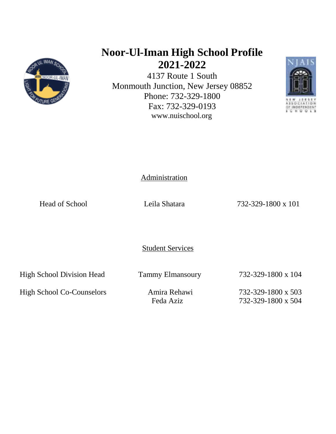

# **Noor-Ul-Iman High School Profile 2021-2022**

4137 Route 1 South Monmouth Junction, New Jersey 08852 Phone: 732-329-1800 Fax: 732-329-0193 www.nuischool.org



Administration

Head of School Leila Shatara 232-329-1800 x 101

Student Services

High School Division Head Tammy Elmansoury 732-329-1800 x 104

High School Co-Counselors Amira Rehawi 732-329-1800 x 503

Feda Aziz 732-329-1800 x 504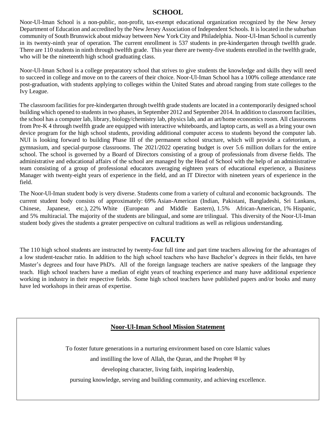#### **SCHOOL**

Noor-Ul-Iman School is a non-public, non-profit, tax-exempt educational organization recognized by the New Jersey Department of Education and accredited by the New Jersey Association of Independent Schools. It is located in the suburban community of South Brunswick about midway between New York City and Philadelphia. Noor-Ul-Iman School is currently in its twenty-ninth year of operation. The current enrollment is 537 students in pre-kindergarten through twelfth grade. There are 110 students in ninth through twelfth grade. This year there are twenty-five students enrolled in the twelfth grade, who will be the nineteenth high school graduating class.

Noor-Ul-Iman School is a college preparatory school that strives to give students the knowledge and skills they will need to succeed in college and move on to the careers of their choice. Noor-Ul-Iman School has a 100% college attendance rate post-graduation, with students applying to colleges within the United States and abroad ranging from state colleges to the Ivy League.

The classroom facilities for pre-kindergarten through twelfth grade students are located in a contemporarily designed school building which opened to students in two phases, in September 2012 and September 2014. In addition to classroom facilities, the school has a computer lab, library, biology/chemistry lab, physics lab, and an art/home economics room. All classrooms from Pre-K 4 through twelfth grade are equipped with interactive whiteboards, and laptop carts, as well as a bring your own device program for the high school students, providing additional computer access to students beyond the computer lab. NUI is looking forward to building Phase III of the permanent school structure, which will provide a cafetorium, a gymnasium, and special-purpose classrooms. The 2021/2022 operating budget is over 5.6 million dollars for the entire school. The school is governed by a Board of Directors consisting of a group of professionals from diverse fields. The administrative and educational affairs of the school are managed by the Head of School with the help of an administrative team consisting of a group of professional educators averaging eighteen years of educational experience, a Business Manager with twenty-eight years of experience in the field, and an IT Director with nineteen years of experience in the field.

The Noor-Ul-Iman student body is very diverse. Students come from a variety of cultural and economic backgrounds. The current student body consists of approximately: 69% Asian-American (Indian, Pakistani, Bangladeshi, Sri Lankans, Chinese, Japanese, etc.), 22% White (European and Middle Eastern), 1.5% African-American, 1% Hispanic, and 5% multiracial. The majority of the students are bilingual, and some are trilingual. This diversity of the Noor-Ul-Iman student body gives the students a greater perspective on cultural traditions as well as religious understanding.

### **FACULTY**

The 110 high school students are instructed by twenty-four full time and part time teachers allowing for the advantages of a low student-teacher ratio. In addition to the high school teachers who have Bachelor's degrees in their fields, ten have Master's degrees and four have PhD's. All of the foreign language teachers are native speakers of the language they teach. High school teachers have a median of eight years of teaching experience and many have additional experience working in industry in their respective fields. Some high school teachers have published papers and/or books and many have led workshops in their areas of expertise.

### **Noor-Ul-Iman School Mission Statement**

To foster future generations in a nurturing environment based on core Islamic values

and instilling the love of Allah, the Quran, and the Prophet  $\mathcal{L}$  by

developing character, living faith, inspiring leadership,

pursuing knowledge, serving and building community, and achieving excellence.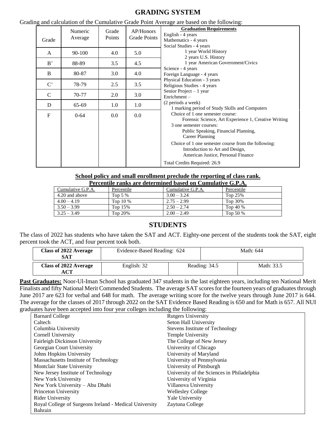## **GRADING SYSTEM**

| Grade          | Numeric<br>Average | Grade<br>Points | AP/Honors<br>Grade Points | and careditation of the cumulative State I only fiverage are based on the following.<br><b>Graduation Requirements</b><br>English - 4 years<br>Mathematics - 4 years<br>Social Studies - 4 years                                                                                                                                               |
|----------------|--------------------|-----------------|---------------------------|------------------------------------------------------------------------------------------------------------------------------------------------------------------------------------------------------------------------------------------------------------------------------------------------------------------------------------------------|
| A              | 90-100             | 4.0             | 5.0                       | 1 year World History<br>2 years U.S. History                                                                                                                                                                                                                                                                                                   |
| $B^+$          | 88-89              | 3.5             | 4.5                       | 1 year American Government/Civics<br>Science - 4 years<br>Foreign Language - 4 years                                                                                                                                                                                                                                                           |
| B              | 80-87              | 3.0             | 4.0                       |                                                                                                                                                                                                                                                                                                                                                |
| $\mathrm{C}^+$ | 78-79              | 2.5             | 3.5                       | Physical Education - 3 years<br>Religious Studies - 4 years                                                                                                                                                                                                                                                                                    |
| $\mathcal{C}$  | 70-77              | 2.0             | 3.0                       | Senior Project $-1$ year<br>Enrichment-                                                                                                                                                                                                                                                                                                        |
| D              | $65-69$            | 1.0             | 1.0                       | (2 periods a week)<br>1 marking period of Study Skills and Computers                                                                                                                                                                                                                                                                           |
| $\mathbf{F}$   | $0 - 64$           | $0.0\,$         | 0.0                       | Choice of 1 one semester course:<br>Forensic Science, Art Experience 1, Creative Writing<br>3 one semester courses:<br>Public Speaking, Financial Planning,<br>Career Planning<br>Choice of 1 one semester course from the following:<br>Introduction to Art and Design,<br>American Justice, Personal Finance<br>Total Credits Required: 26.9 |

**School policy and small enrollment preclude the reporting of class rank.**

| Percentile ranks are determined based on Cumulative G.P.A. |            |                   |            |  |
|------------------------------------------------------------|------------|-------------------|------------|--|
| Cumulative G.P.A.                                          | Percentile | Cumulative G.P.A. | Percentile |  |
| 4.20 and above                                             | Top $5\%$  | $3.00 - 3.24$     | Top 25%    |  |
| $4.00 - 4.19$                                              | Top $10\%$ | $2.75 - 2.99$     | Top 30%    |  |
| $3.50 - 3.99$                                              | Top $15%$  | $2.50 - 2.74$     | Top 40 $%$ |  |
| $3.25 - 3.49$                                              | Top $20\%$ | $2.00 - 2.49$     | Top 50 %   |  |

# **STUDENTS**

The class of 2022 has students who have taken the SAT and ACT. Eighty-one percent of the students took the SAT, eight percent took the ACT, and four percent took both.

| <b>Class of 2022 Average</b><br>SAT | Evidence-Based Reading: 624 | Math: 644     |            |  |
|-------------------------------------|-----------------------------|---------------|------------|--|
| <b>Class of 2022 Average</b>        | English: 32                 | Reading: 34.5 | Math: 33.5 |  |

**Past Graduates:** Noor-Ul-Iman School has graduated 347 students in the last eighteen years, including ten National Merit Finalists and fifty National Merit Commended Students. The average SAT scores for the fourteen years of graduates through June 2017 are 623 for verbal and 648 for math. The average writing score for the twelve years through June 2017 is 644. The average for the classes of 2017 through 2022 on the SAT Evidence Based Reading is 650 and for Math is 657. All NUI graduates have been accepted into four year colleges including the following:

| <b>Barnard College</b>                                 | <b>Rutgers University</b>                  |
|--------------------------------------------------------|--------------------------------------------|
| Caltech                                                | Seton Hall University                      |
| Columbia University                                    | <b>Stevens Institute of Technology</b>     |
| Cornell University                                     | Temple University                          |
| Fairleigh Dickinson University                         | The College of New Jersey                  |
| Georgian Court University                              | University of Chicago                      |
| Johns Hopkins University                               | University of Maryland                     |
| Massachusetts Institute of Technology                  | University of Pennsylvania                 |
| Montclair State University                             | University of Pittsburgh                   |
| New Jersey Institute of Technology                     | University of the Sciences in Philadelphia |
| New York University                                    | University of Virginia                     |
| New York University – Abu Dhabi                        | Villanova University                       |
| Princeton University                                   | <b>Wellesley College</b>                   |
| <b>Rider University</b>                                | <b>Yale University</b>                     |
| Royal College of Surgeons Ireland - Medical University | Zaytuna College                            |
| Bahrain                                                |                                            |